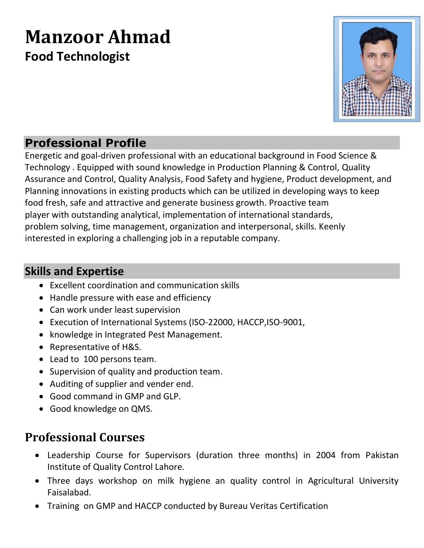# **Manzoor Ahmad Food Technologist**



### **Professional Profile**

Energetic and goal-driven professional with an educational background in Food Science & Technology . Equipped with sound knowledge in Production Planning & Control, Quality Assurance and Control, Quality Analysis, Food Safety and hygiene, Product development, and Planning innovations in existing products which can be utilized in developing ways to keep food fresh, safe and attractive and generate business growth. Proactive team player with outstanding analytical, implementation of international standards, problem solving, time management, organization and interpersonal, skills. Keenly interested in exploring a challenging job in a reputable company.

#### **Skills and Expertise**

- Excellent coordination and communication skills
- Handle pressure with ease and efficiency
- Can work under least supervision
- Execution of International Systems (ISO-22000, HACCP,ISO-9001,
- knowledge in Integrated Pest Management.
- Representative of H&S.
- Lead to 100 persons team.
- Supervision of quality and production team.
- Auditing of supplier and vender end.
- Good command in GMP and GLP.
- Good knowledge on QMS.

### **Professional Courses**

- Leadership Course for Supervisors (duration three months) in 2004 from Pakistan Institute of Quality Control Lahore.
- Three days workshop on milk hygiene an quality control in Agricultural University Faisalabad.
- Training on GMP and HACCP conducted by Bureau Veritas Certification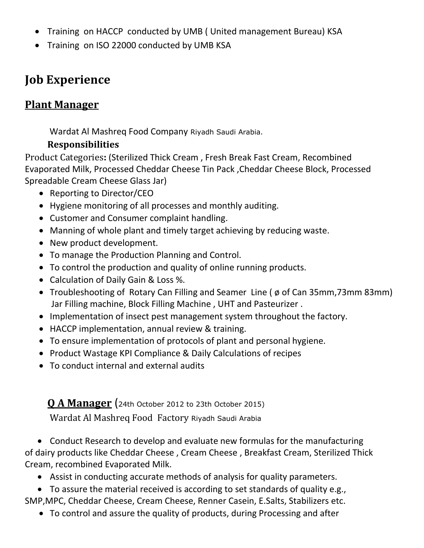- Training on HACCP conducted by UMB ( United management Bureau) KSA
- Training on ISO 22000 conducted by UMB KSA

# **Job Experience**

#### **Plant Manager**

Wardat Al Mashreq Food Company Riyadh Saudi Arabia.

#### **Responsibilities**

Product Categories**:** (Sterilized Thick Cream , Fresh Break Fast Cream, Recombined Evaporated Milk, Processed Cheddar Cheese Tin Pack ,Cheddar Cheese Block, Processed Spreadable Cream Cheese Glass Jar)

- Reporting to Director/CEO
- Hygiene monitoring of all processes and monthly auditing.
- Customer and Consumer complaint handling.
- Manning of whole plant and timely target achieving by reducing waste.
- New product development.
- To manage the Production Planning and Control.
- To control the production and quality of online running products.
- Calculation of Daily Gain & Loss %.
- Troubleshooting of Rotary Can Filling and Seamer Line (  $\phi$  of Can 35mm, 73mm 83mm) Jar Filling machine, Block Filling Machine , UHT and Pasteurizer .
- Implementation of insect pest management system throughout the factory.
- HACCP implementation, annual review & training.
- To ensure implementation of protocols of plant and personal hygiene.
- Product Wastage KPI Compliance & Daily Calculations of recipes
- To conduct internal and external audits

**Q A Manager** (24th October 2012 to 23th October 2015) Wardat Al Mashreq Food Factory Riyadh Saudi Arabia

• Conduct Research to develop and evaluate new formulas for the manufacturing of dairy products like Cheddar Cheese , Cream Cheese , Breakfast Cream, Sterilized Thick Cream, recombined Evaporated Milk.

- Assist in conducting accurate methods of analysis for quality parameters.
- To assure the material received is according to set standards of quality e.g., SMP,MPC, Cheddar Cheese, Cream Cheese, Renner Casein, E.Salts, Stabilizers etc.
	- To control and assure the quality of products, during Processing and after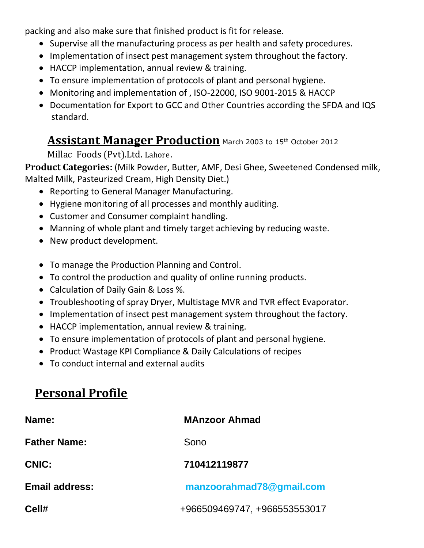packing and also make sure that finished product is fit for release.

- Supervise all the manufacturing process as per health and safety procedures.
- Implementation of insect pest management system throughout the factory.
- HACCP implementation, annual review & training.
- To ensure implementation of protocols of plant and personal hygiene.
- Monitoring and implementation of , ISO-22000, ISO 9001-2015 & HACCP
- Documentation for Export to GCC and Other Countries according the SFDA and IQS standard.

#### **Assistant Manager Production** March 2003 to 15th October 2012

Millac Foods (Pvt).Ltd. Lahore.

**Product Categories:** (Milk Powder, Butter, AMF, Desi Ghee, Sweetened Condensed milk, Malted Milk, Pasteurized Cream, High Density Diet.)

- Reporting to General Manager Manufacturing.
- Hygiene monitoring of all processes and monthly auditing.
- Customer and Consumer complaint handling.
- Manning of whole plant and timely target achieving by reducing waste.
- New product development.
- To manage the Production Planning and Control.
- To control the production and quality of online running products.
- Calculation of Daily Gain & Loss %.
- Troubleshooting of spray Dryer, Multistage MVR and TVR effect Evaporator.
- Implementation of insect pest management system throughout the factory.
- HACCP implementation, annual review & training.
- To ensure implementation of protocols of plant and personal hygiene.
- Product Wastage KPI Compliance & Daily Calculations of recipes
- To conduct internal and external audits

# **Personal Profile**

| Name:                 | <b>MAnzoor Ahmad</b>         |
|-----------------------|------------------------------|
| <b>Father Name:</b>   | Sono                         |
| CNIC:                 | 710412119877                 |
| <b>Email address:</b> | manzoorahmad78@gmail.com     |
| Cell#                 | +966509469747, +966553553017 |